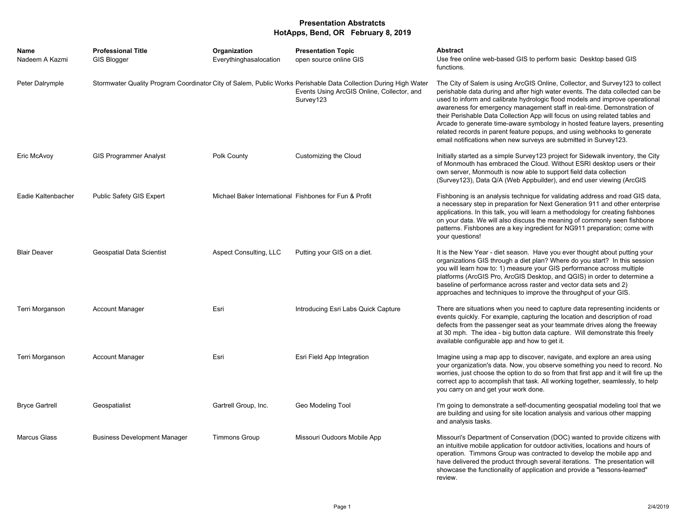## **Presentation Abstratcts HotApps, Bend, OR February 8, 2019**

| Name<br>Nadeem A Kazmi | <b>Professional Title</b><br><b>GIS Blogger</b> | Organization<br>Everythinghasalocation                 | <b>Presentation Topic</b><br>open source online GIS                                                                                                                        | <b>Abstract</b><br>Use free online web-based GIS to perform basic Desktop based GIS<br>functions.                                                                                                                                                                                                                                                                                                                                                                                                                                                                                                                                        |
|------------------------|-------------------------------------------------|--------------------------------------------------------|----------------------------------------------------------------------------------------------------------------------------------------------------------------------------|------------------------------------------------------------------------------------------------------------------------------------------------------------------------------------------------------------------------------------------------------------------------------------------------------------------------------------------------------------------------------------------------------------------------------------------------------------------------------------------------------------------------------------------------------------------------------------------------------------------------------------------|
| Peter Dalrymple        |                                                 |                                                        | Stormwater Quality Program Coordinator City of Salem, Public Works Perishable Data Collection During High Water<br>Events Using ArcGIS Online, Collector, and<br>Survey123 | The City of Salem is using ArcGIS Online, Collector, and Survey123 to collect<br>perishable data during and after high water events. The data collected can be<br>used to inform and calibrate hydrologic flood models and improve operational<br>awareness for emergency management staff in real-time. Demonstration of<br>their Perishable Data Collection App will focus on using related tables and<br>Arcade to generate time-aware symbology in hosted feature layers, presenting<br>related records in parent feature popups, and using webhooks to generate<br>email notifications when new surveys are submitted in Survey123. |
| Eric McAvoy            | <b>GIS Programmer Analyst</b>                   | Polk County                                            | Customizing the Cloud                                                                                                                                                      | Initially started as a simple Survey123 project for Sidewalk inventory, the City<br>of Monmouth has embraced the Cloud. Without ESRI desktop users or their<br>own server, Monmouth is now able to support field data collection<br>(Survey123), Data Q/A (Web Appbuilder), and end user viewing (ArcGIS                                                                                                                                                                                                                                                                                                                                 |
| Eadie Kaltenbacher     | Public Safety GIS Expert                        | Michael Baker International Fishbones for Fun & Profit |                                                                                                                                                                            | Fishboning is an analysis technique for validating address and road GIS data,<br>a necessary step in preparation for Next Generation 911 and other enterprise<br>applications. In this talk, you will learn a methodology for creating fishbones<br>on your data. We will also discuss the meaning of commonly seen fishbone<br>patterns. Fishbones are a key ingredient for NG911 preparation; come with<br>your questions!                                                                                                                                                                                                             |
| <b>Blair Deaver</b>    | <b>Geospatial Data Scientist</b>                | <b>Aspect Consulting, LLC</b>                          | Putting your GIS on a diet.                                                                                                                                                | It is the New Year - diet season. Have you ever thought about putting your<br>organizations GIS through a diet plan? Where do you start? In this session<br>you will learn how to: 1) measure your GIS performance across multiple<br>platforms (ArcGIS Pro, ArcGIS Desktop, and QGIS) in order to determine a<br>baseline of performance across raster and vector data sets and 2)<br>approaches and techniques to improve the throughput of your GIS.                                                                                                                                                                                  |
| Terri Morganson        | <b>Account Manager</b>                          | Esri                                                   | Introducing Esri Labs Quick Capture                                                                                                                                        | There are situations when you need to capture data representing incidents or<br>events quickly. For example, capturing the location and description of road<br>defects from the passenger seat as your teammate drives along the freeway<br>at 30 mph. The idea - big button data capture. Will demonstrate this freely<br>available configurable app and how to get it.                                                                                                                                                                                                                                                                 |
| Terri Morganson        | <b>Account Manager</b>                          | Esri                                                   | Esri Field App Integration                                                                                                                                                 | Imagine using a map app to discover, navigate, and explore an area using<br>your organization's data. Now, you observe something you need to record. No<br>worries, just choose the option to do so from that first app and it will fire up the<br>correct app to accomplish that task. All working together, seamlessly, to help<br>you carry on and get your work done.                                                                                                                                                                                                                                                                |
| <b>Bryce Gartrell</b>  | Geospatialist                                   | Gartrell Group, Inc.                                   | Geo Modeling Tool                                                                                                                                                          | I'm going to demonstrate a self-documenting geospatial modeling tool that we<br>are building and using for site location analysis and various other mapping<br>and analysis tasks.                                                                                                                                                                                                                                                                                                                                                                                                                                                       |
| <b>Marcus Glass</b>    | <b>Business Development Manager</b>             | <b>Timmons Group</b>                                   | Missouri Oudoors Mobile App                                                                                                                                                | Missouri's Department of Conservation (DOC) wanted to provide citizens with<br>an intuitive mobile application for outdoor activities, locations and hours of<br>operation. Timmons Group was contracted to develop the mobile app and<br>have delivered the product through several iterations. The presentation will<br>showcase the functionality of application and provide a "lessons-learned"<br>review.                                                                                                                                                                                                                           |